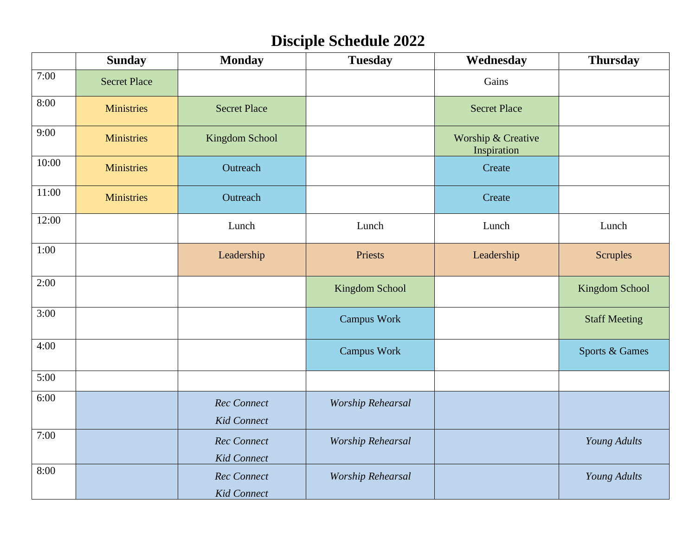# **Disciple Schedule 2022**

|       | <b>Sunday</b>       | <b>Monday</b>                            | <b>Tuesday</b>           | Wednesday                         | <b>Thursday</b>       |
|-------|---------------------|------------------------------------------|--------------------------|-----------------------------------|-----------------------|
| 7:00  | <b>Secret Place</b> |                                          |                          | Gains                             |                       |
| 8:00  | <b>Ministries</b>   | <b>Secret Place</b>                      |                          | <b>Secret Place</b>               |                       |
| 9:00  | <b>Ministries</b>   | Kingdom School                           |                          | Worship & Creative<br>Inspiration |                       |
| 10:00 | <b>Ministries</b>   | Outreach                                 |                          | Create                            |                       |
| 11:00 | <b>Ministries</b>   | Outreach                                 |                          | Create                            |                       |
| 12:00 |                     | Lunch                                    | Lunch                    | Lunch                             | Lunch                 |
| 1:00  |                     | Leadership                               | Priests                  | Leadership                        | <b>Scruples</b>       |
| 2:00  |                     |                                          | Kingdom School           |                                   | <b>Kingdom School</b> |
| 3:00  |                     |                                          | <b>Campus Work</b>       |                                   | <b>Staff Meeting</b>  |
| 4:00  |                     |                                          | <b>Campus Work</b>       |                                   | Sports & Games        |
| 5:00  |                     |                                          |                          |                                   |                       |
| 6:00  |                     | <b>Rec</b> Connect<br><b>Kid Connect</b> | <b>Worship Rehearsal</b> |                                   |                       |
| 7:00  |                     | <b>Rec</b> Connect<br><b>Kid Connect</b> | <b>Worship Rehearsal</b> |                                   | Young Adults          |
| 8:00  |                     | <b>Rec</b> Connect<br><b>Kid Connect</b> | <b>Worship Rehearsal</b> |                                   | Young Adults          |